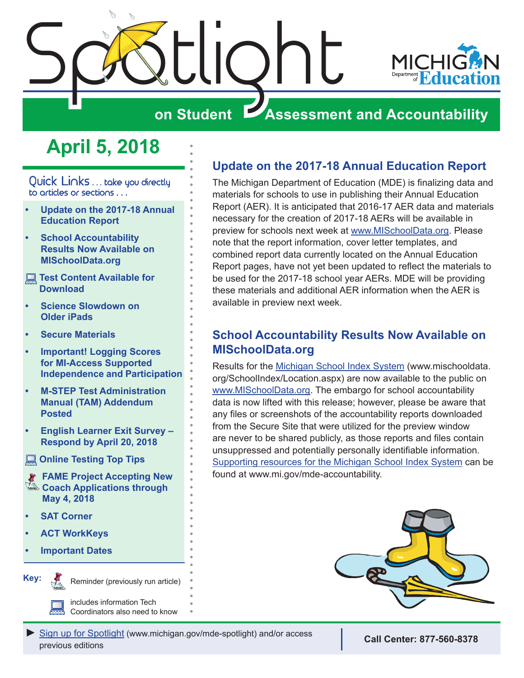<span id="page-0-0"></span>

# **on Student Assessment and Accountability**

# **April 5, 2018**

Quick Links ... take you directly to articles or sections . . .

- **• Update on the 2017-18 Annual Education Report**
- **• School Accountability Results Now Available on MISchoolData.org**
- **Test Content Available for [Download](#page-1-0)**
- **• [Science Slowdown on](#page-1-0)  [Older iPads](#page-1-0)**
- **• [Secure Materials](#page-1-0)**
- **• [Important! Logging Scores](#page-2-0)  [for MI-Access Supported](#page-2-0)  [Independence and Participation](#page-2-0)**
- **• [M-STEP Test Administration](#page-2-0)  [Manual \(TAM\) Addendum](#page-2-0)  [Posted](#page-2-0)**
- **• [English Learner Exit Survey](#page-3-0)  [Respond by April 20, 2018](#page-3-0)**
- **[Online Testing Top Tips](#page-3-0)**
- $\triangleq$  Coach Applications through **[FAME Project Accepting New](#page-5-0)  [May 4, 2018](#page-5-0)**
- **• [SAT Corner](#page-6-0)**
- **• [ACT WorkKeys](#page-8-0)**
- **• [Important Dates](#page-12-0)**



Reminder (previously run article)

includes information Tech Coordinators also need to know

# **Update on the 2017-18 Annual Education Report**

The Michigan Department of Education (MDE) is finalizing data and materials for schools to use in publishing their Annual Education Report (AER). It is anticipated that 2016-17 AER data and materials necessary for the creation of 2017-18 AERs will be available in preview for schools next week at [www.MISchoolData.org.](https://www.mischooldata.org/) Please note that the report information, cover letter templates, and combined report data currently located on the Annual Education Report pages, have not yet been updated to reflect the materials to be used for the 2017-18 school year AERs. MDE will be providing these materials and additional AER information when the AER is available in preview next week.

# **School Accountability Results Now Available on MISchoolData.org**

Results for the **Michigan School Index System** (www.mischooldata. org/SchoolIndex/Location.aspx) are now available to the public on [www.MISchoolData.org.](https://www.mischooldata.org/) The embargo for school accountability data is now lifted with this release; however, please be aware that any files or screenshots of the accountability reports downloaded from the Secure Site that were utilized for the preview window are never to be shared publicly, as those reports and files contain unsuppressed and potentially personally identifiable information. [Supporting resources for the Michigan School Index System](https://www.michigan.gov/mde/0,4615,7-140-81376_59490---,00.html) can be found at www.mi.gov/mde-accountability.



*►* [Sign up for Spotlight](https://public.govdelivery.com/accounts/MIMDE/subscriber/new) [\(www.michigan.gov/mde](www.michigan.gov/mde-spotlight)-spotlight) and/or access previous editions **Call Center: 877-560-8378**<br>previous editions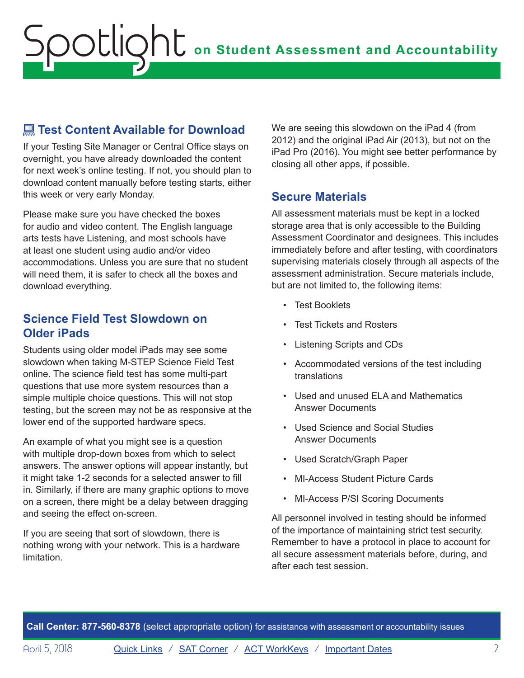# <span id="page-1-0"></span> **Test Content Available for Download**

If your Testing Site Manager or Central Office stays on overnight, you have already downloaded the content for next week's online testing. If not, you should plan to download content manually before testing starts, either this week or very early Monday.

Please make sure you have checked the boxes for audio and video content. The English language arts tests have Listening, and most schools have at least one student using audio and/or video accommodations. Unless you are sure that no student will need them, it is safer to check all the boxes and download everything.

## **Science Field Test Slowdown on Older iPads**

Students using older model iPads may see some slowdown when taking M-STEP Science Field Test online. The science field test has some multi-part questions that use more system resources than a simple multiple choice questions. This will not stop testing, but the screen may not be as responsive at the lower end of the supported hardware specs.

An example of what you might see is a question with multiple drop-down boxes from which to select answers. The answer options will appear instantly, but it might take 1-2 seconds for a selected answer to fill in. Similarly, if there are many graphic options to move on a screen, there might be a delay between dragging and seeing the effect on-screen.

If you are seeing that sort of slowdown, there is nothing wrong with your network. This is a hardware limitation.

We are seeing this slowdown on the iPad 4 (from 2012) and the original iPad Air (2013), but not on the iPad Pro (2016). You might see better performance by closing all other apps, if possible.

# **Secure Materials**

All assessment materials must be kept in a locked storage area that is only accessible to the Building Assessment Coordinator and designees. This includes immediately before and after testing, with coordinators supervising materials closely through all aspects of the assessment administration. Secure materials include, but are not limited to, the following items:

- Test Booklets
- Test Tickets and Rosters
- Listening Scripts and CDs
- Accommodated versions of the test including translations
- Used and unused ELA and Mathematics Answer Documents
- Used Science and Social Studies Answer Documents
- Used Scratch/Graph Paper
- MI-Access Student Picture Cards
- MI-Access P/SI Scoring Documents

All personnel involved in testing should be informed of the importance of maintaining strict test security. Remember to have a protocol in place to account for all secure assessment materials before, during, and after each test session.

**Call Center: 877-560-8378** (select appropriate option) for assistance with assessment or accountability issues

April 5, 2018 **[Quick Links](#page-0-0)** / **[SAT Corner](#page-6-1)** / **[ACT WorkKeys](#page-8-1)** / **[Important Dates](#page-12-1)** 2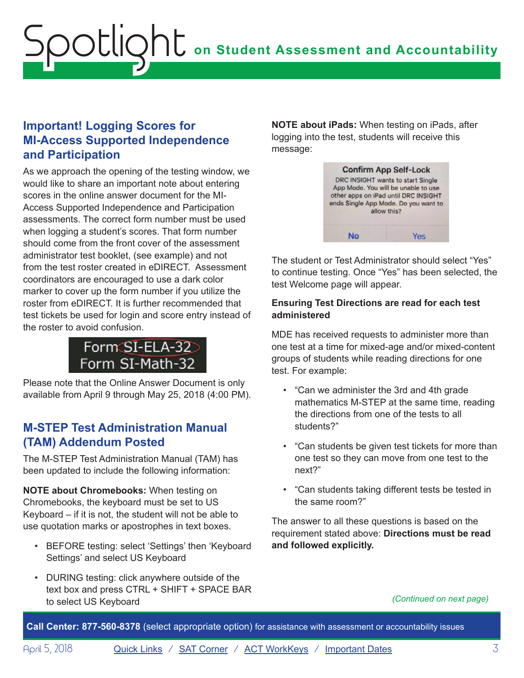# <span id="page-2-0"></span>**Important! Logging Scores for MI-Access Supported Independence and Participation**

As we approach the opening of the testing window, we would like to share an important note about entering scores in the online answer document for the MI-Access Supported Independence and Participation assessments. The correct form number must be used when logging a student's scores. That form number should come from the front cover of the assessment administrator test booklet, (see example) and not from the test roster created in eDIRECT. Assessment coordinators are encouraged to use a dark color marker to cover up the form number if you utilize the roster from eDIRECT. It is further recommended that test tickets be used for login and score entry instead of the roster to avoid confusion.



Please note that the Online Answer Document is only available from April 9 through May 25, 2018 (4:00 PM).

# **M-STEP Test Administration Manual (TAM) Addendum Posted**

The M-STEP Test Administration Manual (TAM) has been updated to include the following information:

**NOTE about Chromebooks:** When testing on Chromebooks, the keyboard must be set to US Keyboard – if it is not, the student will not be able to use quotation marks or apostrophes in text boxes.

- BEFORE testing: select 'Settings' then 'Keyboard Settings' and select US Keyboard
- DURING testing: click anywhere outside of the text box and press CTRL + SHIFT + SPACE BAR to select US Keyboard

**NOTE about iPads:** When testing on iPads, after logging into the test, students will receive this message:



The student or Test Administrator should select "Yes" to continue testing. Once "Yes" has been selected, the test Welcome page will appear.

#### **Ensuring Test Directions are read for each test administered**

MDE has received requests to administer more than one test at a time for mixed-age and/or mixed-content groups of students while reading directions for one test. For example:

- "Can we administer the 3rd and 4th grade mathematics M-STEP at the same time, reading the directions from one of the tests to all students?"
- "Can students be given test tickets for more than one test so they can move from one test to the next?"
- "Can students taking different tests be tested in the same room?"

The answer to all these questions is based on the requirement stated above: **Directions must be read and followed explicitly.**

*(Continued on next page)*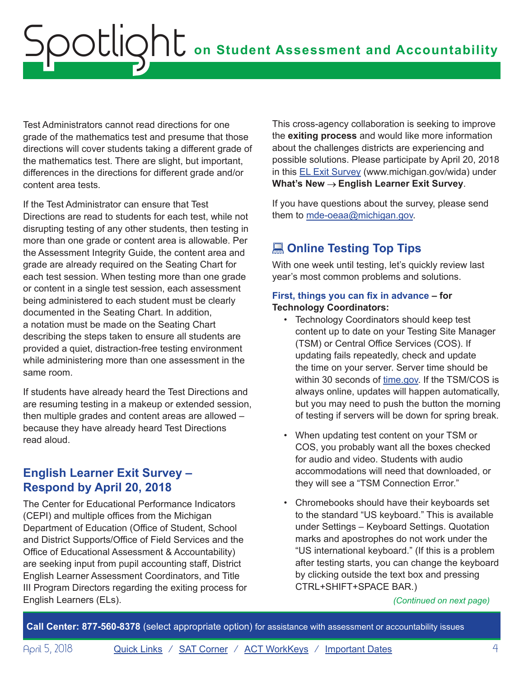<span id="page-3-0"></span>Test Administrators cannot read directions for one grade of the mathematics test and presume that those directions will cover students taking a different grade of the mathematics test. There are slight, but important, differences in the directions for different grade and/or content area tests.

If the Test Administrator can ensure that Test Directions are read to students for each test, while not disrupting testing of any other students, then testing in more than one grade or content area is allowable. Per the Assessment Integrity Guide, the content area and grade are already required on the Seating Chart for each test session. When testing more than one grade or content in a single test session, each assessment being administered to each student must be clearly documented in the Seating Chart. In addition, a notation must be made on the Seating Chart describing the steps taken to ensure all students are provided a quiet, distraction-free testing environment while administering more than one assessment in the same room.

If students have already heard the Test Directions and are resuming testing in a makeup or extended session, then multiple grades and content areas are allowed – because they have already heard Test Directions read aloud.

# **English Learner Exit Survey – Respond by April 20, 2018**

The Center for Educational Performance Indicators (CEPI) and multiple offices from the Michigan Department of Education (Office of Student, School and District Supports/Office of Field Services and the Office of Educational Assessment & Accountability) are seeking input from pupil accounting staff, District English Learner Assessment Coordinators, and Title III Program Directors regarding the exiting process for English Learners (ELs). *(Continued on next page)*

This cross-agency collaboration is seeking to improve the **exiting process** and would like more information about the challenges districts are experiencing and possible solutions. Please participate by April 20, 2018 in this [EL Exit](https://docs.google.com/forms/d/e/1FAIpQLSd2OSNzufK_OBb652TbxtTFiZANXdc4gWvlMWiTEEskDf_pjQ/viewform) Survey (www.michigan.gov/wida) under **What's New English Learner Exit Survey**.

If you have questions about the survey, please send them to [mde-oeaa@michigan.gov.](mailto:mde-oeaa%40michigan.gov?subject=)

# **<u></u> Online Testing Top Tips**

With one week until testing, let's quickly review last year's most common problems and solutions.

#### **First, things you can fix in advance – for Technology Coordinators:**

- Technology Coordinators should keep test content up to date on your Testing Site Manager (TSM) or Central Office Services (COS). If updating fails repeatedly, check and update the time on your server. Server time should be within 30 seconds of [time.gov.](https://time.gov/) If the TSM/COS is always online, updates will happen automatically, but you may need to push the button the morning of testing if servers will be down for spring break.
- When updating test content on your TSM or COS, you probably want all the boxes checked for audio and video. Students with audio accommodations will need that downloaded, or they will see a "TSM Connection Error."
- Chromebooks should have their keyboards set to the standard "US keyboard." This is available under Settings – Keyboard Settings. Quotation marks and apostrophes do not work under the "US international keyboard." (If this is a problem after testing starts, you can change the keyboard by clicking outside the text box and pressing CTRL+SHIFT+SPACE BAR.)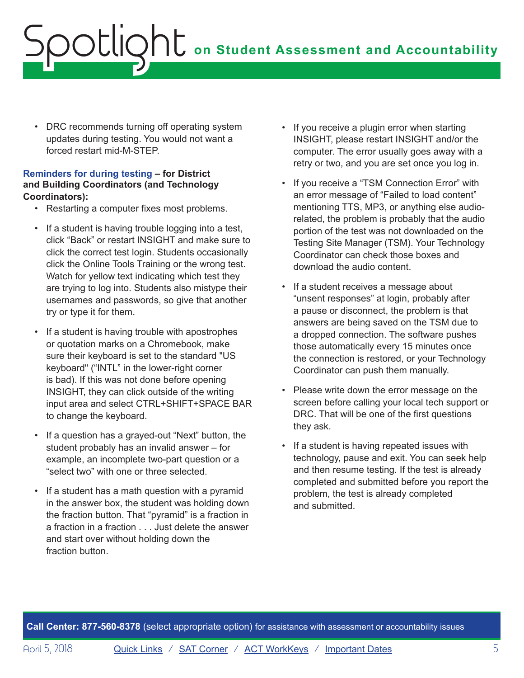• DRC recommends turning off operating system updates during testing. You would not want a forced restart mid-M-STEP.

#### **Reminders for during testing – for District and Building Coordinators (and Technology Coordinators):**

- Restarting a computer fixes most problems.
- If a student is having trouble logging into a test, click "Back" or restart INSIGHT and make sure to click the correct test login. Students occasionally click the Online Tools Training or the wrong test. Watch for yellow text indicating which test they are trying to log into. Students also mistype their usernames and passwords, so give that another try or type it for them.
- If a student is having trouble with apostrophes or quotation marks on a Chromebook, make sure their keyboard is set to the standard "US keyboard" ("INTL" in the lower-right corner is bad). If this was not done before opening INSIGHT, they can click outside of the writing input area and select CTRL+SHIFT+SPACE BAR to change the keyboard.
- If a question has a grayed-out "Next" button, the student probably has an invalid answer – for example, an incomplete two-part question or a "select two" with one or three selected.
- If a student has a math question with a pyramid in the answer box, the student was holding down the fraction button. That "pyramid" is a fraction in a fraction in a fraction . . . Just delete the answer and start over without holding down the fraction button.
- If you receive a plugin error when starting INSIGHT, please restart INSIGHT and/or the computer. The error usually goes away with a retry or two, and you are set once you log in.
- If you receive a "TSM Connection Error" with an error message of "Failed to load content" mentioning TTS, MP3, or anything else audiorelated, the problem is probably that the audio portion of the test was not downloaded on the Testing Site Manager (TSM). Your Technology Coordinator can check those boxes and download the audio content.
- If a student receives a message about "unsent responses" at login, probably after a pause or disconnect, the problem is that answers are being saved on the TSM due to a dropped connection. The software pushes those automatically every 15 minutes once the connection is restored, or your Technology Coordinator can push them manually.
- Please write down the error message on the screen before calling your local tech support or DRC. That will be one of the first questions they ask.
- If a student is having repeated issues with technology, pause and exit. You can seek help and then resume testing. If the test is already completed and submitted before you report the problem, the test is already completed and submitted.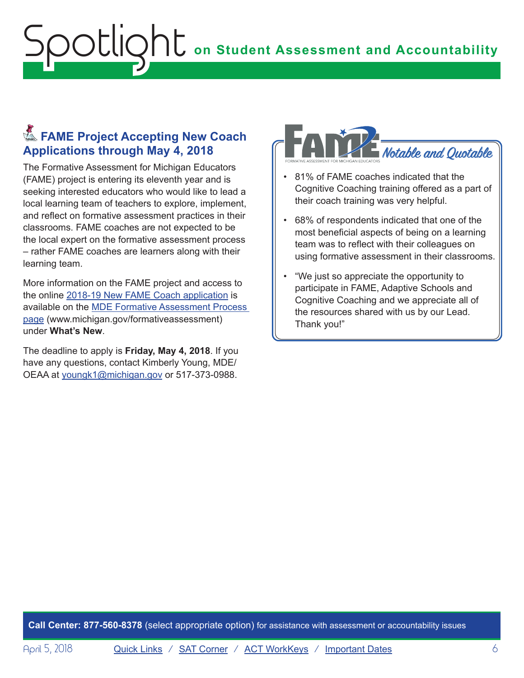# <span id="page-5-0"></span>**Example Project Accepting New Coach Applications through May 4, 2018**

The Formative Assessment for Michigan Educators (FAME) project is entering its eleventh year and is seeking interested educators who would like to lead a local learning team of teachers to explore, implement, and reflect on formative assessment practices in their classrooms. FAME coaches are not expected to be the local expert on the formative assessment process – rather FAME coaches are learners along with their learning team.

More information on the FAME project and access to the online [2018-19 New FAME Coach application](https://www.surveymonkey.com/r/FAMEnewcoaches) is available on the [MDE Formative Assessment Process](http://www.michigan.gov/formativeassessment)  [page](http://www.michigan.gov/formativeassessment) [\(www.michigan.gov/formativeassessment](http://www.michigan.gov/formativeassessment)) under **What's New**.

The deadline to apply is **Friday, May 4, 2018**. If you have any questions, contact Kimberly Young, MDE/ OEAA at [youngk1@michigan.gov](mailto:youngk1%40michigan.gov?subject=) or 517-373-0988.



- 81% of FAME coaches indicated that the Cognitive Coaching training offered as a part of their coach training was very helpful.
- 68% of respondents indicated that one of the most beneficial aspects of being on a learning team was to reflect with their colleagues on using formative assessment in their classrooms.
- "We just so appreciate the opportunity to participate in FAME, Adaptive Schools and Cognitive Coaching and we appreciate all of the resources shared with us by our Lead. Thank you!"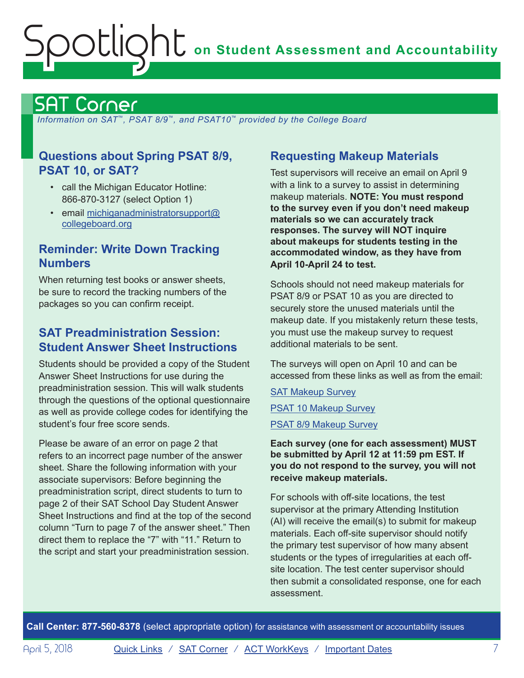# <span id="page-6-1"></span><span id="page-6-0"></span>SAT Corner

 *Information on SAT*™*, PSAT 8/9*™*, and PSAT10*™ *provided by the College Board*

# **Questions about Spring PSAT 8/9, PSAT 10, or SAT?**

- call the Michigan Educator Hotline: 866-870-3127 (select Option 1)
- email [michiganadministratorsupport@](mailto:michiganadministratorsupport%40collegeboard.org?subject=) [collegeboard.org](mailto:michiganadministratorsupport%40collegeboard.org?subject=)

# **Reminder: Write Down Tracking Numbers**

When returning test books or answer sheets, be sure to record the tracking numbers of the packages so you can confirm receipt.

# **SAT Preadministration Session: Student Answer Sheet Instructions**

Students should be provided a copy of the Student Answer Sheet Instructions for use during the preadministration session. This will walk students through the questions of the optional questionnaire as well as provide college codes for identifying the student's four free score sends.

Please be aware of an error on page 2 that refers to an incorrect page number of the answer sheet. Share the following information with your associate supervisors: Before beginning the preadministration script, direct students to turn to page 2 of their SAT School Day Student Answer Sheet Instructions and find at the top of the second column "Turn to page 7 of the answer sheet." Then direct them to replace the "7" with "11." Return to the script and start your preadministration session.

# **Requesting Makeup Materials**

Test supervisors will receive an email on April 9 with a link to a survey to assist in determining makeup materials. **NOTE: You must respond to the survey even if you don't need makeup materials so we can accurately track responses. The survey will NOT inquire about makeups for students testing in the accommodated window, as they have from April 10-April 24 to test.** 

Schools should not need makeup materials for PSAT 8/9 or PSAT 10 as you are directed to securely store the unused materials until the makeup date. If you mistakenly return these tests, you must use the makeup survey to request additional materials to be sent.

The surveys will open on April 10 and can be accessed from these links as well as from the email:

[SAT Makeup Survey](https://www.surveyresearchonline.com/se.ashx?s=7321E7ED275CB571) [PSAT 10 Makeup Survey](https://www.surveyresearchonline.com/se.ashx?s=7321E7ED275CB571) [PSAT 8/9 Makeup Survey](https://www.surveyresearchonline.com/se.ashx?s=7321E7ED275CB571)

#### **Each survey (one for each assessment) MUST be submitted by April 12 at 11:59 pm EST. If you do not respond to the survey, you will not receive makeup materials.**

For schools with off-site locations, the test supervisor at the primary Attending Institution (AI) will receive the email(s) to submit for makeup materials. Each off-site supervisor should notify the primary test supervisor of how many absent students or the types of irregularities at each offsite location. The test center supervisor should then submit a consolidated response, one for each assessment.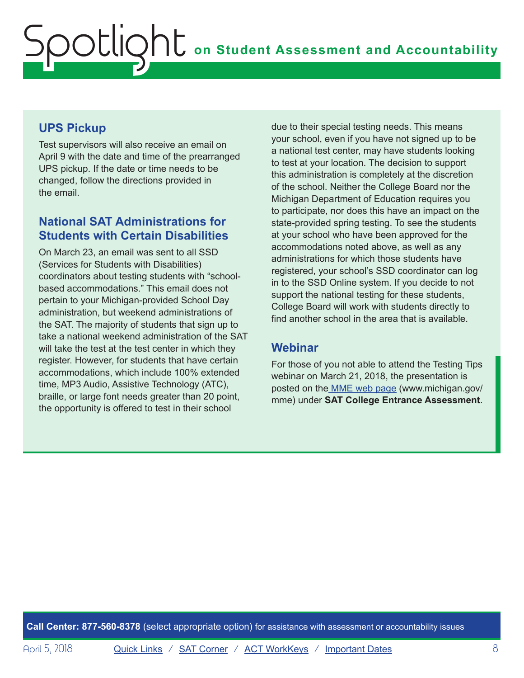# **UPS Pickup**

Test supervisors will also receive an email on April 9 with the date and time of the prearranged UPS pickup. If the date or time needs to be changed, follow the directions provided in the email.

# **National SAT Administrations for Students with Certain Disabilities**

On March 23, an email was sent to all SSD (Services for Students with Disabilities) coordinators about testing students with "schoolbased accommodations." This email does not pertain to your Michigan-provided School Day administration, but weekend administrations of the SAT. The majority of students that sign up to take a national weekend administration of the SAT will take the test at the test center in which they register. However, for students that have certain accommodations, which include 100% extended time, MP3 Audio, Assistive Technology (ATC), braille, or large font needs greater than 20 point, the opportunity is offered to test in their school

due to their special testing needs. This means your school, even if you have not signed up to be a national test center, may have students looking to test at your location. The decision to support this administration is completely at the discretion of the school. Neither the College Board nor the Michigan Department of Education requires you to participate, nor does this have an impact on the state-provided spring testing. To see the students at your school who have been approved for the accommodations noted above, as well as any administrations for which those students have registered, your school's SSD coordinator can log in to the SSD Online system. If you decide to not support the national testing for these students, College Board will work with students directly to find another school in the area that is available.

# **Webinar**

For those of you not able to attend the Testing Tips webinar on March 21, 2018, the presentation is posted on the [MME web page](www.michigan.gov/mme) [\(www.michigan.gov/](www.michigan.gov/mme) [mme\)](www.michigan.gov/mme) under **SAT College Entrance Assessment**.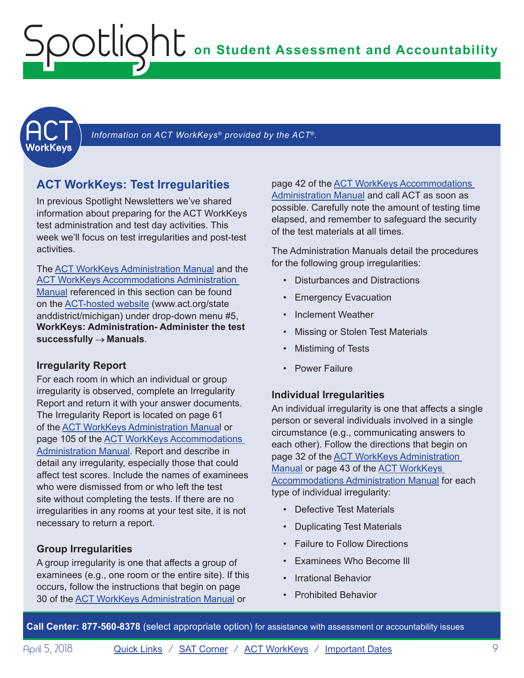<span id="page-8-1"></span><span id="page-8-0"></span>

Information on ACT WorkKeys<sup>®</sup> provided by the ACT<sup>®</sup>.

### **ACT WorkKeys: Test Irregularities**

In previous Spotlight Newsletters we've shared information about preparing for the ACT WorkKeys test administration and test day activities. This week we'll focus on test irregularities and post-test activities.

The [ACT WorkKeys Administration Manual](https://www.act.org/content/dam/act/secured/documents/pdfs/WK-Admin-SD-Std-Time-Paper-Secured.pdf) and the [ACT WorkKeys Accommodations Administration](https://www.act.org/content/dam/act/secured/documents/pdfs/WK-Admin-SD-Accoms-Secured.pdf)  [Manual](https://www.act.org/content/dam/act/secured/documents/pdfs/WK-Admin-SD-Accoms-Secured.pdf) referenced in this section can be found on the [ACT-hosted website](https://www.act.org/content/act/en/products-and-services/state-and-district-solutions/michigan.html) (www.act.org/state anddistrict/michigan) under drop-down menu #5, **WorkKeys: Administration- Administer the test successfully Manuals**.

#### **Irregularity Report**

For each room in which an individual or group irregularity is observed, complete an Irregularity Report and return it with your answer documents. The Irregularity Report is located on page 61 of the [ACT WorkKeys Administration Manua](http://www.act.org/content/dam/act/secured/documents/pdfs/WK-Admin-SD-Std-Time-Paper-Secured.pdf)l or page 105 of the [ACT WorkKeys Accommodations](http://www.act.org/content/dam/act/secured/documents/pdfs/WK-Admin-SD-Accoms-Secured.pdf)  [Administration Manual.](http://www.act.org/content/dam/act/secured/documents/pdfs/WK-Admin-SD-Accoms-Secured.pdf) Report and describe in detail any irregularity, especially those that could affect test scores. Include the names of examinees who were dismissed from or who left the test site without completing the tests. If there are no irregularities in any rooms at your test site, it is not necessary to return a report.

#### **Group Irregularities**

A group irregularity is one that affects a group of examinees (e.g., one room or the entire site). If this occurs, follow the instructions that begin on page 30 of the [ACT WorkKeys Administration Manual](http://www.act.org/content/dam/act/secured/documents/pdfs/WK-Admin-SD-Std-Time-Paper-Secured.pdf) or

page 42 of the **ACT WorkKeys Accommodations** [Administration Manual](http://www.act.org/content/dam/act/secured/documents/pdfs/WK-Admin-SD-Accoms-Secured.pdf) and call ACT as soon as possible. Carefully note the amount of testing time elapsed, and remember to safeguard the security of the test materials at all times.

The Administration Manuals detail the procedures for the following group irregularities:

- Disturbances and Distractions
- Emergency Evacuation
- Inclement Weather
- Missing or Stolen Test Materials
- **Mistiming of Tests**
- Power Failure

#### **Individual Irregularities**

An individual irregularity is one that affects a single person or several individuals involved in a single circumstance (e.g., communicating answers to each other). Follow the directions that begin on page 32 of the **ACT WorkKeys Administration** [Manual](http://www.act.org/content/dam/act/secured/documents/pdfs/WK-Admin-SD-Std-Time-Paper-Secured.pdf) or page 43 of the [ACT WorkKeys](http://www.act.org/content/dam/act/secured/documents/pdfs/WK-Admin-SD-Accoms-Secured.pdf)  [Accommodations Administration Manual](http://www.act.org/content/dam/act/secured/documents/pdfs/WK-Admin-SD-Accoms-Secured.pdf) for each type of individual irregularity:

- Defective Test Materials
- Duplicating Test Materials
- Failure to Follow Directions
- Examinees Who Become Ill
- Irrational Behavior
- Prohibited Behavior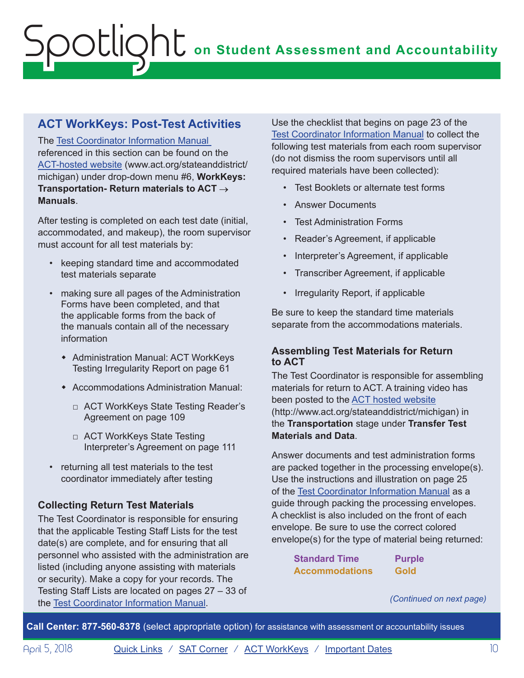# **ACT WorkKeys: Post-Test Activities**

The [Test Coordinator Information Manual](http://www.act.org/content/dam/act/secured/documents/pdfs/state-district-test-coordinator-paper-test.pdf) referenced in this section can be found on the [ACT-hosted website](https://www.act.org/content/act/en/products-and-services/state-and-district-solutions/michigan.html) (www.act.org/stateanddistrict/ michigan) under drop-down menu #6, **WorkKeys: Transportation- Return materials to ACT Manuals**.

After testing is completed on each test date (initial, accommodated, and makeup), the room supervisor must account for all test materials by:

- keeping standard time and accommodated test materials separate
- making sure all pages of the Administration Forms have been completed, and that the applicable forms from the back of the manuals contain all of the necessary information
	- **\*** Administration Manual: ACT WorkKeys Testing Irregularity Report on page 61
	- **\*** Accommodations Administration Manual:
		- □ ACT WorkKeys State Testing Reader's Agreement on page 109
		- □ ACT WorkKeys State Testing Interpreter's Agreement on page 111
- returning all test materials to the test coordinator immediately after testing

### **Collecting Return Test Materials**

The Test Coordinator is responsible for ensuring that the applicable Testing Staff Lists for the test date(s) are complete, and for ensuring that all personnel who assisted with the administration are listed (including anyone assisting with materials or security). Make a copy for your records. The Testing Staff Lists are located on pages 27 – 33 of the [Test Coordinator Information Manual](http://www.act.org/content/dam/act/secured/documents/pdfs/state-district-test-coordinator-paper-test.pdf).

Use the checklist that begins on page 23 of the [Test Coordinator Information Manual](http://www.act.org/content/dam/act/secured/documents/pdfs/state-district-test-coordinator-paper-test.pdf) to collect the following test materials from each room supervisor (do not dismiss the room supervisors until all required materials have been collected):

- Test Booklets or alternate test forms
- Answer Documents
- Test Administration Forms
- Reader's Agreement, if applicable
- Interpreter's Agreement, if applicable
- Transcriber Agreement, if applicable
- Irregularity Report, if applicable

Be sure to keep the standard time materials separate from the accommodations materials.

#### **Assembling Test Materials for Return to ACT**

The Test Coordinator is responsible for assembling materials for return to ACT. A training video has been posted to the [ACT hosted website](http://www.act.org/stateanddistrict/michigan) (http://www.act.org/stateanddistrict/michigan) in the **Transportation** stage under **Transfer Test Materials and Data**.

Answer documents and test administration forms are packed together in the processing envelope(s). Use the instructions and illustration on page 25 of the [Test Coordinator Information Manual](http://www.act.org/content/dam/act/secured/documents/pdfs/state-district-test-coordinator-paper-test.pdf) as a guide through packing the processing envelopes. A checklist is also included on the front of each envelope. Be sure to use the correct colored envelope(s) for the type of material being returned:

> **Standard Time Purple Accommodations Gold**

*(Continued on next page)*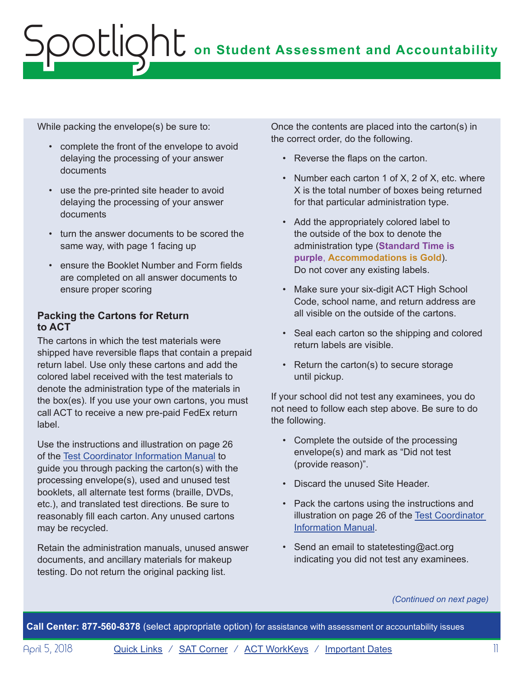While packing the envelope(s) be sure to:

- complete the front of the envelope to avoid delaying the processing of your answer documents
- use the pre-printed site header to avoid delaying the processing of your answer documents
- turn the answer documents to be scored the same way, with page 1 facing up
- ensure the Booklet Number and Form fields are completed on all answer documents to ensure proper scoring

#### **Packing the Cartons for Return to ACT**

The cartons in which the test materials were shipped have reversible flaps that contain a prepaid return label. Use only these cartons and add the colored label received with the test materials to denote the administration type of the materials in the box(es). If you use your own cartons, you must call ACT to receive a new pre-paid FedEx return label.

Use the instructions and illustration on page 26 of the [Test Coordinator Information Manual](http://www.act.org/content/dam/act/secured/documents/pdfs/state-district-test-coordinator-paper-test.pdf) to guide you through packing the carton(s) with the processing envelope(s), used and unused test booklets, all alternate test forms (braille, DVDs, etc.), and translated test directions. Be sure to reasonably fill each carton. Any unused cartons may be recycled.

Retain the administration manuals, unused answer documents, and ancillary materials for makeup testing. Do not return the original packing list.

Once the contents are placed into the carton(s) in the correct order, do the following.

- Reverse the flaps on the carton.
- Number each carton 1 of X, 2 of X, etc. where X is the total number of boxes being returned for that particular administration type.
- Add the appropriately colored label to the outside of the box to denote the administration type (**Standard Time is purple**, **Accommodations is Gold**). Do not cover any existing labels.
- Make sure your six-digit ACT High School Code, school name, and return address are all visible on the outside of the cartons.
- Seal each carton so the shipping and colored return labels are visible.
- Return the carton(s) to secure storage until pickup.

If your school did not test any examinees, you do not need to follow each step above. Be sure to do the following.

- Complete the outside of the processing envelope(s) and mark as "Did not test (provide reason)".
- Discard the unused Site Header.
- Pack the cartons using the instructions and illustration on page 26 of the [Test Coordinator](http://www.act.org/content/dam/act/secured/documents/pdfs/state-district-test-coordinator-paper-test.pdf)  [Information Manual.](http://www.act.org/content/dam/act/secured/documents/pdfs/state-district-test-coordinator-paper-test.pdf)
- Send an email to statetesting@act.org indicating you did not test any examinees.

*(Continued on next page)*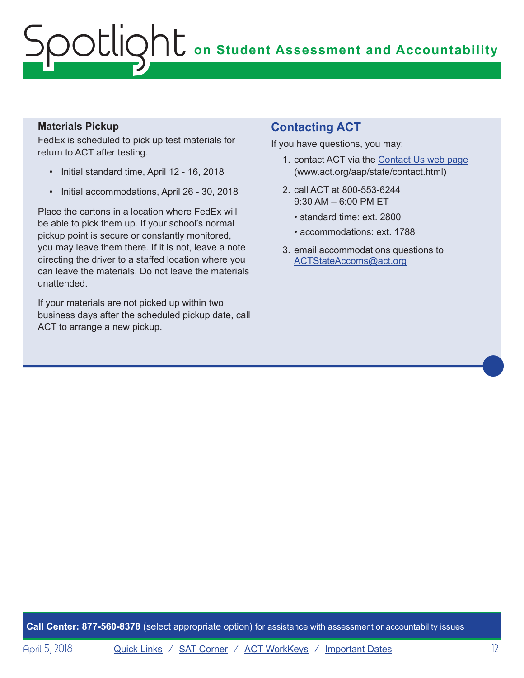#### **Materials Pickup**

FedEx is scheduled to pick up test materials for return to ACT after testing.

- Initial standard time, April 12 16, 2018
- Initial accommodations, April 26 30, 2018

Place the cartons in a location where FedEx will be able to pick them up. If your school's normal pickup point is secure or constantly monitored, you may leave them there. If it is not, leave a note directing the driver to a staffed location where you can leave the materials. Do not leave the materials unattended.

If your materials are not picked up within two business days after the scheduled pickup date, call ACT to arrange a new pickup.

### **Contacting ACT**

If you have questions, you may:

- 1. contact ACT via the [Contact Us web page](http://www.act.org/aap/state/contact.html) [\(www.act.org/aap/state/contact.html](www.act.org/aap/state/contact.html))
- 2. call ACT at 800-553-6244 9:30 AM – 6:00 PM ET
	- standard time: ext. 2800
	- accommodations: ext. 1788
- 3. email accommodations questions to [ACTStateAccoms@act.org](mailto:ACTStateAccoms%40act.org?subject=)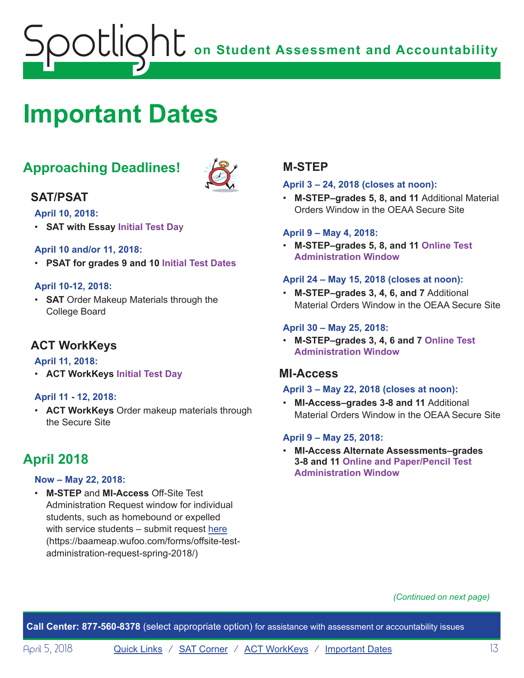# <span id="page-12-1"></span><span id="page-12-0"></span>**Important Dates**

# **Approaching Deadlines!**



### **SAT/PSAT**

**April 10, 2018:**

• **SAT with Essay Initial Test Da**y

#### **April 10 and/or 11, 2018:**

• **PSAT for grades 9 and 10 Initial Test Dates**

#### **April 10-12, 2018:**

• **SAT** Order Makeup Materials through the College Board

### **ACT WorkKeys**

#### **April 11, 2018:**

• **ACT WorkKeys Initial Test Day**

#### **April 11 - 12, 2018:**

• **ACT WorkKeys** Order makeup materials through the Secure Site

# **April 2018**

#### **Now – May 22, 2018:**

• **M-STEP** and **MI-Access** Off-Site Test Administration Request window for individual students, such as homebound or expelled with service students – submit request [here](https://baameap.wufoo.com/forms/offsite-test-administration-request-spring-2018/) ([https://baameap.wufoo.com/forms/offsite-test](https://baameap.wufoo.com/forms/offsite-test-administration-request-spring-2018/)[administration-request-spring-2018/\)](https://baameap.wufoo.com/forms/offsite-test-administration-request-spring-2018/)

### **M-STEP**

#### **April 3 – 24, 2018 (closes at noon):**

• **M-STEP–grades 5, 8, and 11** Additional Material Orders Window in the OEAA Secure Site

#### **April 9 – May 4, 2018:**

• **M-STEP–grades 5, 8, and 11 Online Test Administration Window**

#### **April 24 – May 15, 2018 (closes at noon):**

• **M-STEP–grades 3, 4, 6, and 7** Additional Material Orders Window in the OEAA Secure Site

#### **April 30 – May 25, 2018:**

• **M-STEP–grades 3, 4, 6 and 7 Online Test Administration Window**

#### **MI-Access**

#### **April 3 – May 22, 2018 (closes at noon):**

• **MI-Access–grades 3-8 and 11** Additional Material Orders Window in the OEAA Secure Site

#### **April 9 – May 25, 2018:**

• **MI-Access Alternate Assessments–grades 3-8 and 11 Online and Paper/Pencil Test Administration Window**

#### *(Continued on next page)*